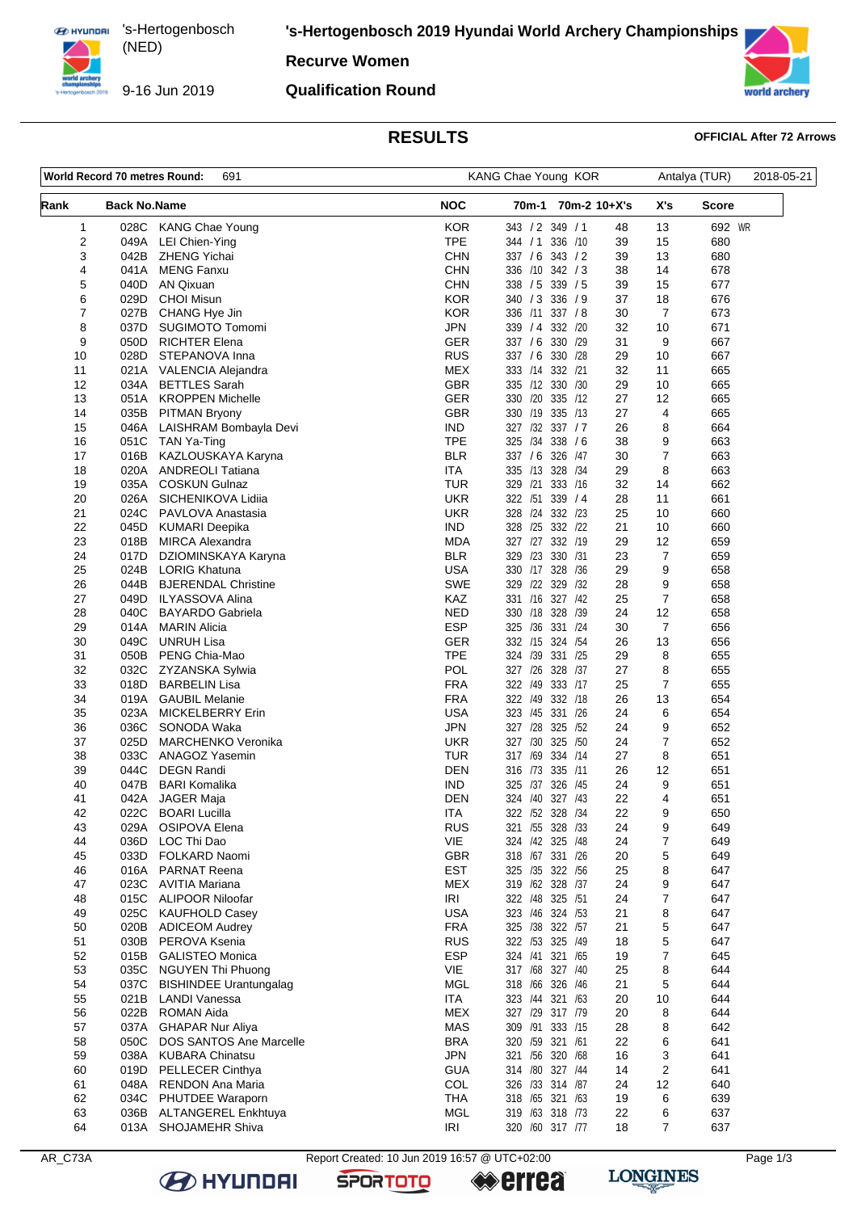**ED HYUNDRI** 's-Hertogenbosch (NED) 

9-16 Jun 2019

**'s-Hertogenbosch 2019 Hyundai World Archery Championships**

## **Recurve Women**

### **Qualification Round**



# **RESULTS OFFICIAL After 72 Arrows**

| World Record 70 metres Round:<br>691 |                     |                                               | KANG Chae Young KOR      |                                                    |                  | 2018-05-21 |  |
|--------------------------------------|---------------------|-----------------------------------------------|--------------------------|----------------------------------------------------|------------------|------------|--|
| Rank                                 | <b>Back No.Name</b> |                                               | <b>NOC</b>               | 70m-1<br>70m-2 10+X's                              | X's              | Score      |  |
| 1                                    | 028C                | <b>KANG Chae Young</b>                        | <b>KOR</b>               | 343 / 2 349 / 1<br>48                              | 13               | 692 WR     |  |
| 2                                    | 049A                | LEI Chien-Ying                                | <b>TPE</b>               | 336 /10<br>344 / 1<br>39                           | 15               | 680        |  |
| 3                                    | 042B                | <b>ZHENG Yichai</b>                           | <b>CHN</b>               | 337 / 6 343 / 2<br>39                              | 13               | 680        |  |
| 4                                    | 041A                | <b>MENG Fanxu</b>                             | <b>CHN</b>               | 336 /10 342 / 3<br>38                              | 14               | 678        |  |
| 5                                    | 040D                | AN Qixuan                                     | <b>CHN</b>               | 338 / 5<br>339 / 5<br>39                           | 15               | 677        |  |
| 6<br>7                               | 029D<br>027B        | <b>CHOI Misun</b><br>CHANG Hye Jin            | <b>KOR</b><br><b>KOR</b> | 340 / 3 336 / 9<br>37<br>336 /11 337 / 8<br>30     | 18<br>7          | 676<br>673 |  |
| 8                                    | 037D                | SUGIMOTO Tomomi                               | <b>JPN</b>               | 332 /20<br>32<br>339 / 4                           | 10               | 671        |  |
| 9                                    | 050D                | <b>RICHTER Elena</b>                          | <b>GER</b>               | 337 / 6 330 / 29<br>31                             | 9                | 667        |  |
| 10                                   | 028D                | STEPANOVA Inna                                | <b>RUS</b>               | 29<br>337 / 6 330 / 28                             | 10               | 667        |  |
| 11                                   | 021A                | VALENCIA Alejandra                            | MEX                      | 333 /14<br>332 /21<br>32                           | 11               | 665        |  |
| 12                                   | 034A                | <b>BETTLES</b> Sarah                          | <b>GBR</b>               | 335 /12 330 /30<br>29                              | 10               | 665        |  |
| 13                                   | 051A                | <b>KROPPEN Michelle</b>                       | <b>GER</b>               | 330 /20 335 /12<br>27                              | 12               | 665        |  |
| 14                                   | 035B                | <b>PITMAN Bryony</b>                          | <b>GBR</b>               | 335 /13<br>27<br>330 /19                           | 4                | 665        |  |
| 15                                   | 046A                | LAISHRAM Bombayla Devi                        | <b>IND</b>               | 327 /32 337 / 7<br>26                              | 8                | 664        |  |
| 16                                   | 051C                | TAN Ya-Ting                                   | <b>TPE</b>               | 338 / 6<br>325 /34<br>38                           | 9                | 663        |  |
| 17                                   | 016B                | KAZLOUSKAYA Karyna                            | <b>BLR</b>               | 337 / 6<br>326 /47<br>30                           | $\overline{7}$   | 663        |  |
| 18                                   | 020A                | <b>ANDREOLI Tatiana</b>                       | ITA                      | 335 /13 328 /34<br>29                              | 8                | 663        |  |
| 19<br>20                             | 035A<br>026A        | <b>COSKUN Gulnaz</b><br>SICHENIKOVA Lidiia    | TUR<br><b>UKR</b>        | 329 /21 333 /16<br>32<br>322 /51<br>339 / 4<br>28  | 14<br>11         | 662<br>661 |  |
| 21                                   | 024C                | PAVLOVA Anastasia                             | <b>UKR</b>               | 328 /24<br>332 /23<br>25                           | 10               | 660        |  |
| 22                                   | 045D                | <b>KUMARI Deepika</b>                         | <b>IND</b>               | 328 /25 332 /22<br>21                              | 10               | 660        |  |
| 23                                   | 018B                | <b>MIRCA Alexandra</b>                        | <b>MDA</b>               | 327 /27 332 /19<br>29                              | 12               | 659        |  |
| 24                                   | 017D                | DZIOMINSKAYA Karyna                           | <b>BLR</b>               | 329 /23 330 /31<br>23                              | $\overline{7}$   | 659        |  |
| 25                                   | 024B                | <b>LORIG Khatuna</b>                          | <b>USA</b>               | 330 /17 328 /36<br>29                              | 9                | 658        |  |
| 26                                   | 044B                | <b>BJERENDAL Christine</b>                    | <b>SWE</b>               | 329 /22 329 /32<br>28                              | 9                | 658        |  |
| 27                                   | 049D                | <b>ILYASSOVA Alina</b>                        | KAZ                      | 331 /16 327 /42<br>25                              | $\overline{7}$   | 658        |  |
| 28                                   | 040C                | <b>BAYARDO Gabriela</b>                       | <b>NED</b>               | 330 /18 328 /39<br>24                              | 12               | 658        |  |
| 29                                   | 014A                | <b>MARIN Alicia</b>                           | <b>ESP</b>               | 325 /36 331 /24<br>30                              | 7                | 656        |  |
| 30                                   | 049C                | <b>UNRUH Lisa</b>                             | GER                      | 332 /15 324 /54<br>26                              | 13               | 656        |  |
| 31                                   | 050B                | PENG Chia-Mao                                 | <b>TPE</b>               | 29<br>324 /39<br>331 /25                           | 8                | 655        |  |
| 32                                   | 032C                | ZYZANSKA Sylwia                               | POL                      | 327 /26 328 /37<br>27                              | 8                | 655        |  |
| 33<br>34                             | 018D<br>019A        | <b>BARBELIN Lisa</b><br><b>GAUBIL Melanie</b> | <b>FRA</b><br><b>FRA</b> | 322 /49 333 /17<br>25<br>322 /49<br>332 /18<br>26  | 7<br>13          | 655<br>654 |  |
| 35                                   | 023A                | <b>MICKELBERRY Erin</b>                       | <b>USA</b>               | 323 /45 331 /26<br>24                              | 6                | 654        |  |
| 36                                   | 036C                | SONODA Waka                                   | <b>JPN</b>               | 327 /28 325 /52<br>24                              | 9                | 652        |  |
| 37                                   | 025D                | <b>MARCHENKO Veronika</b>                     | UKR                      | 327 /30<br>325 /50<br>24                           | $\overline{7}$   | 652        |  |
| 38                                   | 033C                | ANAGOZ Yasemin                                | <b>TUR</b>               | 317 /69 334 /14<br>27                              | 8                | 651        |  |
| 39                                   | 044C                | <b>DEGN Randi</b>                             | <b>DEN</b>               | 316 /73<br>335 /11<br>26                           | 12               | 651        |  |
| 40                                   | 047B                | <b>BARI Komalika</b>                          | <b>IND</b>               | 326 /45<br>24<br>325<br>/37                        | 9                | 651        |  |
| 41                                   | 042A                | JAGER Maja                                    | DEN                      | 22<br>324 /40 327 /43                              | 4                | 651        |  |
| 42                                   | 022C                | <b>BOARI Lucilla</b>                          | <b>ITA</b>               | 322 /52 328 /34<br>22                              | 9                | 650        |  |
| 43                                   | 029A                | OSIPOVA Elena                                 | <b>RUS</b>               | 321 /55 328 /33<br>24                              | 9                | 649        |  |
| 44                                   | 036D                | LOC Thi Dao                                   | VIE                      | 324 /42 325 /48<br>24                              | 7                | 649        |  |
| 45                                   | 033D<br>016A        | FOLKARD Naomi<br><b>PARNAT Reena</b>          | <b>GBR</b><br><b>EST</b> | 318 /67 331 /26<br>20<br>325 /35 322 /56<br>25     | 5<br>8           | 649<br>647 |  |
| 46<br>47                             | 023C                | <b>AVITIA Mariana</b>                         | <b>MEX</b>               | 319 /62 328 /37<br>24                              | 9                | 647        |  |
| 48                                   | 015C                | ALIPOOR Niloofar                              | <b>IRI</b>               | 322 /48 325 /51<br>24                              | 7                | 647        |  |
| 49                                   | 025C                | <b>KAUFHOLD Casey</b>                         | <b>USA</b>               | 323 /46 324 /53<br>21                              | 8                | 647        |  |
| 50                                   | 020B                | <b>ADICEOM Audrey</b>                         | <b>FRA</b>               | 325 /38 322 /57<br>21                              | 5                | 647        |  |
| 51                                   | 030B                | PEROVA Ksenia                                 | <b>RUS</b>               | 322 /53 325 /49<br>18                              | 5                | 647        |  |
| 52                                   | 015B                | <b>GALISTEO Monica</b>                        | <b>ESP</b>               | 324 /41 321 /65<br>19                              | 7                | 645        |  |
| 53                                   | 035C                | <b>NGUYEN Thi Phuong</b>                      | VIE                      | 317 /68 327 /40<br>25                              | 8                | 644        |  |
| 54                                   | 037C                | <b>BISHINDEE Urantungalag</b>                 | MGL                      | 318 /66 326 /46<br>21                              | 5                | 644        |  |
| 55                                   | 021B                | <b>LANDI Vanessa</b>                          | <b>ITA</b>               | 323 /44 321 /63<br>20                              | 10               | 644        |  |
| 56                                   | 022B                | <b>ROMAN Aida</b>                             | <b>MEX</b>               | 327 /29 317 /79<br>20                              | 8                | 644        |  |
| 57                                   | 037A                | <b>GHAPAR Nur Aliya</b>                       | MAS                      | 309 /91 333 /15<br>28                              | 8                | 642        |  |
| 58                                   | 050C                | DOS SANTOS Ane Marcelle                       | <b>BRA</b>               | 320 /59 321 /61<br>22                              | 6                | 641        |  |
| 59<br>60                             | 038A<br>019D        | <b>KUBARA Chinatsu</b><br>PELLECER Cinthya    | <b>JPN</b><br><b>GUA</b> | 321 /56 320 /68<br>16<br>314 /80<br>327 / 44<br>14 | 3<br>$\mathbf 2$ | 641<br>641 |  |
| 61                                   | 048A                | RENDON Ana Maria                              | COL                      | 326 /33 314 /87<br>24                              | 12               | 640        |  |
| 62                                   | 034C                | PHUTDEE Waraporn                              | <b>THA</b>               | 318 /65 321 /63<br>19                              | 6                | 639        |  |
| 63                                   | 036B                | <b>ALTANGEREL Enkhtuya</b>                    | <b>MGL</b>               | 319 /63 318 /73<br>22                              | 6                | 637        |  |
| 64                                   | 013A                | <b>SHOJAMEHR Shiva</b>                        | IRI                      | 320 /60 317 /77<br>18                              | $\overline{7}$   | 637        |  |
|                                      |                     |                                               |                          |                                                    |                  |            |  |



**B** HYUNDAI

AR\_C73A Report Created: 10 Jun 2019 16:57 @ UTC+02:00 Page 1/3

**SPORTOTO** 

**errea** 

**LONGINES**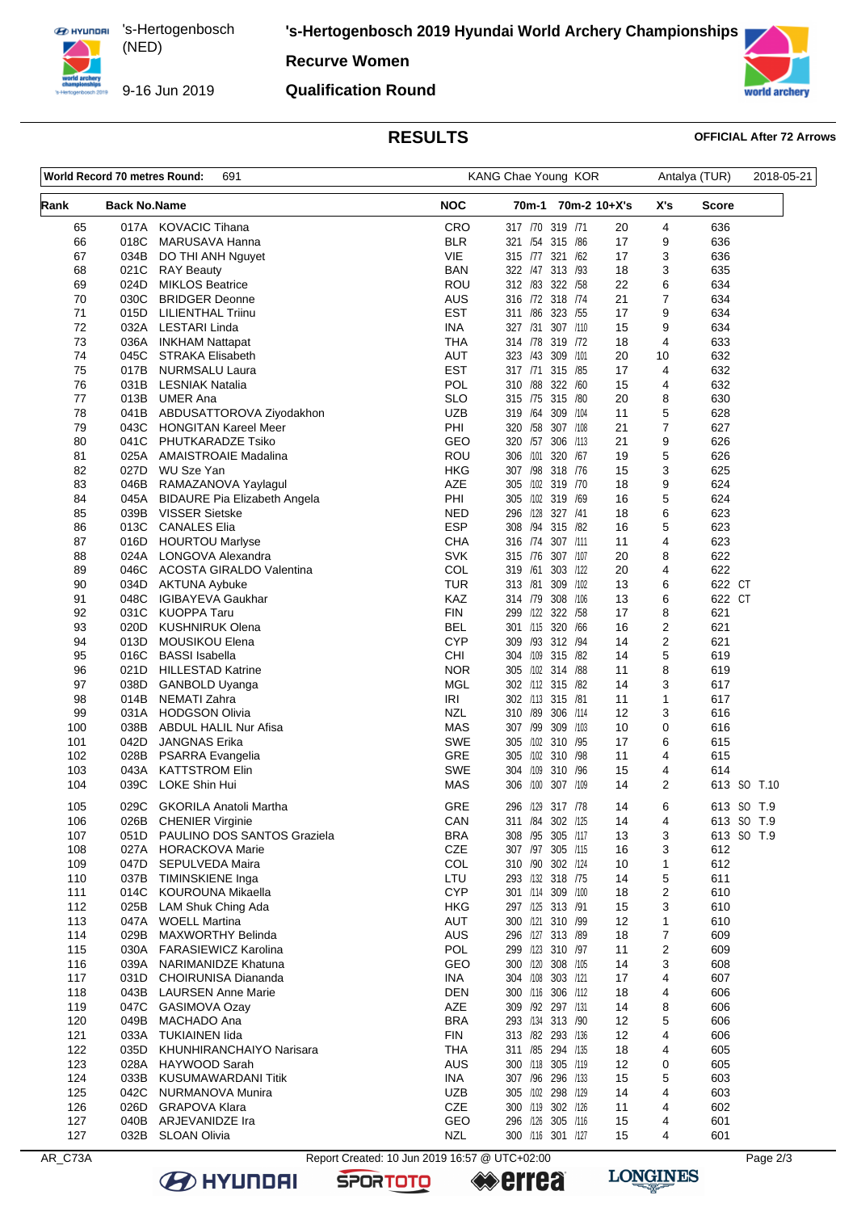**ED HYUNDRI** 's-Hertogenbosch (NED) 

9-16 Jun 2019

**'s-Hertogenbosch 2019 Hyundai World Archery Championships**

## **Recurve Women**

### **Qualification Round**



# **RESULTS OFFICIAL After 72 Arrows**

| World Record 70 metres Round:<br>691 |                     |                                                         | KANG Chae Young KOR                           |                                         |              |                     | 2018-05-21       |             |
|--------------------------------------|---------------------|---------------------------------------------------------|-----------------------------------------------|-----------------------------------------|--------------|---------------------|------------------|-------------|
| Rank                                 | <b>Back No.Name</b> |                                                         | <b>NOC</b>                                    | 70m-1                                   | 70m-2 10+X's | X's                 | Score            |             |
| 65                                   | 017A                | <b>KOVACIC Tihana</b>                                   | CRO                                           | 317 /70 319 /71                         | 20           | 4                   | 636              |             |
| 66                                   | 018C                | MARUSAVA Hanna                                          | <b>BLR</b><br><b>VIE</b>                      | 321 /54 315 /86                         | 17           | 9<br>3              | 636              |             |
| 67<br>68                             | 034B<br>021C        | DO THI ANH Nguyet<br><b>RAY Beauty</b>                  | BAN                                           | 315 /77 321 /62<br>322 /47 313 /93      | 17<br>18     | 3                   | 636<br>635       |             |
| 69                                   | 024D                | <b>MIKLOS Beatrice</b>                                  | ROU                                           | 312 /83 322 /58                         | 22           | 6                   | 634              |             |
| 70                                   | 030C                | <b>BRIDGER Deonne</b>                                   | AUS                                           | 316 /72 318 /74                         | 21           | $\overline{7}$      | 634              |             |
| 71                                   | 015D                | LILIENTHAL Triinu                                       | <b>EST</b>                                    | 311 /86 323 /55                         | 17           | 9                   | 634              |             |
| 72                                   | 032A                | <b>LESTARI Linda</b>                                    | <b>INA</b>                                    | 307 /110<br>327 /31                     | 15           | 9                   | 634              |             |
| 73                                   | 036A                | <b>INKHAM Nattapat</b>                                  | <b>THA</b>                                    | 314 78 319 72                           | 18           | 4                   | 633              |             |
| 74                                   | 045C                | <b>STRAKA Elisabeth</b>                                 | <b>AUT</b>                                    | 323 /43 309 /101                        | 20           | 10                  | 632              |             |
| 75                                   | 017B                | NURMSALU Laura                                          | <b>EST</b>                                    | 317 /71<br>315 /85                      | 17           | 4                   | 632              |             |
| 76                                   | 031B                | <b>LESNIAK Natalia</b>                                  | POL                                           | 322 /60<br>310 /88                      | 15           | 4                   | 632              |             |
| 77                                   | 013B                | <b>UMER Ana</b>                                         | <b>SLO</b><br><b>UZB</b>                      | 315 75 315 780<br>309 /104              | 20<br>11     | 8                   | 630              |             |
| 78<br>79                             | 041B<br>043C        | ABDUSATTOROVA Ziyodakhon<br><b>HONGITAN Kareel Meer</b> | PHI                                           | 319 /64<br>320 /58<br>307 /108          | 21           | 5<br>$\overline{7}$ | 628<br>627       |             |
| 80                                   | 041C                | PHUTKARADZE Tsiko                                       | GEO                                           | 320 /57<br>306 /113                     | 21           | 9                   | 626              |             |
| 81                                   | 025A                | <b>AMAISTROAIE Madalina</b>                             | ROU                                           | 320 /67<br>306 /101                     | 19           | 5                   | 626              |             |
| 82                                   | 027D                | WU Sze Yan                                              | HKG                                           | 307 /98 318 /76                         | 15           | 3                   | 625              |             |
| 83                                   | 046B                | RAMAZANOVA Yaylagul                                     | AZE                                           | 305 /102 319 /70                        | 18           | 9                   | 624              |             |
| 84                                   | 045A                | <b>BIDAURE Pia Elizabeth Angela</b>                     | PHI                                           | 305 /102<br>319 /69                     | 16           | 5                   | 624              |             |
| 85                                   | 039B                | <b>VISSER Sietske</b>                                   | NED                                           | 296 /128 327 /41                        | 18           | 6                   | 623              |             |
| 86                                   | 013C                | <b>CANALES Elia</b>                                     | <b>ESP</b>                                    | 308 /94 315 /82                         | 16           | 5                   | 623              |             |
| 87                                   | 016D                | <b>HOURTOU Marlyse</b>                                  | <b>CHA</b>                                    | 316 /74<br>307 /111                     | 11           | 4                   | 623              |             |
| 88                                   | 024A                | LONGOVA Alexandra                                       | <b>SVK</b>                                    | 315 /76 307 /107                        | 20           | 8                   | 622              |             |
| 89                                   | 046C                | <b>ACOSTA GIRALDO Valentina</b>                         | COL                                           | 319 /61<br>303 /122                     | 20           | 4                   | 622              |             |
| 90<br>91                             | 034D<br>048C        | AKTUNA Aybuke<br><b>IGIBAYEVA Gaukhar</b>               | TUR<br>KAZ                                    | 313 /81<br>309 /102<br>314 /79 308 /106 | 13<br>13     | 6<br>6              | 622 CT<br>622 CT |             |
| 92                                   | 031C                | <b>KUOPPA Taru</b>                                      | <b>FIN</b>                                    | 322 /58<br>299 /122                     | 17           | 8                   | 621              |             |
| 93                                   | 020D                | <b>KUSHNIRUK Olena</b>                                  | BEL                                           | 301 /115 320 /66                        | 16           | 2                   | 621              |             |
| 94                                   | 013D                | MOUSIKOU Elena                                          | <b>CYP</b>                                    | 309 /93 312 /94                         | 14           | 2                   | 621              |             |
| 95                                   | 016C                | <b>BASSI</b> Isabella                                   | <b>CHI</b>                                    | 304 /109 315 /82                        | 14           | 5                   | 619              |             |
| 96                                   | 021D                | <b>HILLESTAD Katrine</b>                                | <b>NOR</b>                                    | 305 /102 314 /88                        | 11           | 8                   | 619              |             |
| 97                                   | 038D                | GANBOLD Uyanga                                          | <b>MGL</b>                                    | 302 /112 315 /82                        | 14           | 3                   | 617              |             |
| 98                                   | 014B                | NEMATI Zahra                                            | IRI                                           | 302 /113 315 /81                        | 11           | 1                   | 617              |             |
| 99                                   | 031A                | <b>HODGSON Olivia</b>                                   | <b>NZL</b>                                    | 310 /89<br>306 /114                     | 12           | 3                   | 616              |             |
| 100                                  | 038B                | <b>ABDUL HALIL Nur Afisa</b>                            | MAS                                           | 307 /99<br>309 /103                     | 10           | 0                   | 616              |             |
| 101<br>102                           | 042D<br>028B        | <b>JANGNAS Erika</b><br>PSARRA Evangelia                | <b>SWE</b><br><b>GRE</b>                      | 305 /102 310 /95<br>305 /102 310 /98    | 17<br>11     | 6<br>4              | 615<br>615       |             |
| 103                                  | 043A                | <b>KATTSTROM Elin</b>                                   | <b>SWE</b>                                    | 304 /109 310 /96                        | 15           | 4                   | 614              |             |
| 104                                  | 039C                | LOKE Shin Hui                                           | <b>MAS</b>                                    | 306 /100 307 /109                       | 14           | 2                   |                  | 613 SO T.10 |
| 105                                  |                     | 029C GKORILA Anatoli Martha                             | GRE                                           | 296 /129 317 /78                        | 14           | 6                   |                  | 613 SO T.9  |
| 106                                  |                     | 026B CHENIER Virginie                                   | CAN                                           | 311 /84 302 /125                        | 14           | 4                   |                  | 613 SO T.9  |
| 107                                  | 051D                | PAULINO DOS SANTOS Graziela                             | <b>BRA</b>                                    | 308 /95 305 /117                        | 13           | 3                   |                  | 613 SO T.9  |
| 108                                  | 027A                | <b>HORACKOVA Marie</b>                                  | CZE                                           | 307 /97 305 /115                        | 16           | 3                   | 612              |             |
| 109<br>110                           | 047D<br>037B        | SEPULVEDA Maira<br>TIMINSKIENE Inga                     | COL<br>LTU                                    | 310 /90 302 /124<br>293 /132 318 /75    | 10<br>14     | 1<br>5              | 612<br>611       |             |
| 111                                  | 014C                | KOUROUNA Mikaella                                       | <b>CYP</b>                                    | 301 /114 309 /100                       | 18           | 2                   | 610              |             |
| 112                                  | 025B                | LAM Shuk Ching Ada                                      | <b>HKG</b>                                    | 297 /125 313 /91                        | 15           | 3                   | 610              |             |
| 113                                  | 047A                | <b>WOELL Martina</b>                                    | <b>AUT</b>                                    | 300 /121 310 /99                        | 12           | 1                   | 610              |             |
| 114                                  | 029B                | MAXWORTHY Belinda                                       | <b>AUS</b>                                    | 296 /127 313 /89                        | 18           | 7                   | 609              |             |
| 115                                  | 030A                | <b>FARASIEWICZ Karolina</b>                             | POL                                           | 299 /123 310 /97                        | 11           | 2                   | 609              |             |
| 116                                  | 039A                | NARIMANIDZE Khatuna                                     | GEO                                           | 300 /120 308 /105                       | 14           | 3                   | 608              |             |
| 117                                  | 031D                | CHOIRUNISA Diananda                                     | <b>INA</b>                                    | 304 /108 303 /121                       | 17           | 4                   | 607              |             |
| 118                                  | 043B                | <b>LAURSEN Anne Marie</b>                               | DEN                                           | 300 /116 306 /112                       | 18           | 4                   | 606              |             |
| 119                                  | 047C                | GASIMOVA Ozay                                           | AZE                                           | 309 /92 297 /131                        | 14           | 8                   | 606              |             |
| 120                                  | 049B                | MACHADO Ana                                             | <b>BRA</b>                                    | 293 /134 313 /90                        | 12           | 5                   | 606              |             |
| 121<br>122                           | 033A<br>035D        | <b>TUKIAINEN lida</b><br>KHUNHIRANCHAIYO Narisara       | <b>FIN</b><br><b>THA</b>                      | 313 /82 293 /136<br>311 /85 294 /135    | 12<br>18     | 4<br>4              | 606<br>605       |             |
| 123                                  | 028A                | HAYWOOD Sarah                                           | <b>AUS</b>                                    | 300 /118 305 /119                       | 12           | 0                   | 605              |             |
| 124                                  | 033B                | KUSUMAWARDANI Titik                                     | <b>INA</b>                                    | 307 /96 296 /133                        | 15           | 5                   | 603              |             |
| 125                                  | 042C                | NURMANOVA Munira                                        | <b>UZB</b>                                    | 305 /102 298 /129                       | 14           | 4                   | 603              |             |
| 126                                  | 026D                | <b>GRAPOVA Klara</b>                                    | <b>CZE</b>                                    | 300 /119 302 /126                       | 11           | 4                   | 602              |             |
| 127                                  | 040B                | ARJEVANIDZE Ira                                         | GEO                                           | 296 /126 305 /116                       | 15           | 4                   | 601              |             |
| 127                                  |                     | 032B SLOAN Olivia                                       | <b>NZL</b>                                    | 300 /116 301 /127                       | 15           | 4                   | 601              |             |
| AR_C73A                              |                     |                                                         | Report Created: 10 Jun 2019 16:57 @ UTC+02:00 |                                         |              |                     |                  | Page 2/3    |

**SPORTOTO** 

**B** HYUNDAI

**errea**